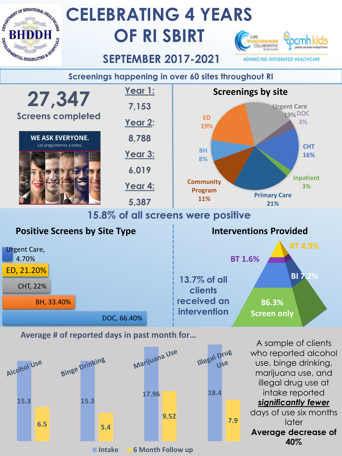

**Average # of reported days in past month for…**



A sample of clients who reported alcohol use, binge drinking, marijuana use, and illegal drug use at intake reported *significantly fewer* days of use six months later **Average decrease of 40%**